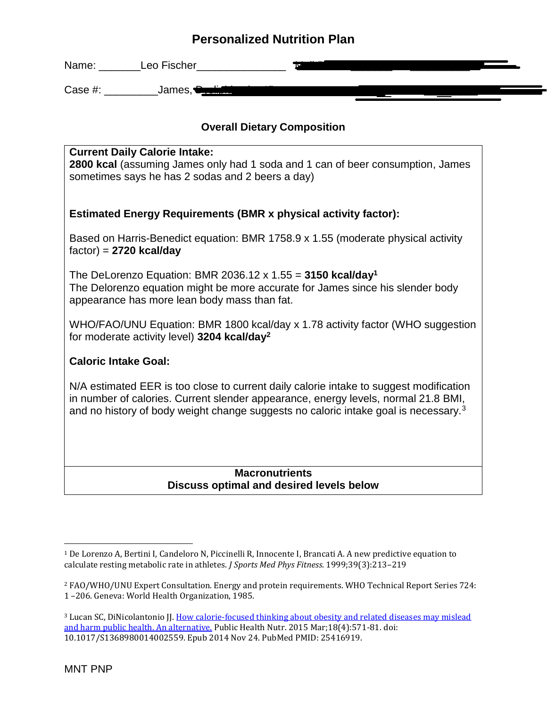| Name:   | Leo Fischer       |  |  |
|---------|-------------------|--|--|
| Case #: | James,•<br>------ |  |  |

### **Overall Dietary Composition**

| N/A estimated EER is too close to current daily calorie intake to suggest modification<br>in number of calories. Current slender appearance, energy levels, normal 21.8 BMI,<br>and no history of body weight change suggests no caloric intake goal is necessary. <sup>3</sup> |
|---------------------------------------------------------------------------------------------------------------------------------------------------------------------------------------------------------------------------------------------------------------------------------|
| <b>Caloric Intake Goal:</b>                                                                                                                                                                                                                                                     |
| WHO/FAO/UNU Equation: BMR 1800 kcal/day x 1.78 activity factor (WHO suggestion<br>for moderate activity level) 3204 kcal/day <sup>2</sup>                                                                                                                                       |
| The DeLorenzo Equation: BMR 2036.12 x 1.55 = 3150 kcal/day <sup>1</sup><br>The Delorenzo equation might be more accurate for James since his slender body<br>appearance has more lean body mass than fat.                                                                       |
| Based on Harris-Benedict equation: BMR 1758.9 x 1.55 (moderate physical activity<br>$factor) = 2720$ kcal/day                                                                                                                                                                   |
| <b>Estimated Energy Requirements (BMR x physical activity factor):</b>                                                                                                                                                                                                          |
| sometimes says he has 2 sodas and 2 beers a day)                                                                                                                                                                                                                                |
| <b>Current Daily Calorie Intake:</b><br>2800 kcal (assuming James only had 1 soda and 1 can of beer consumption, James                                                                                                                                                          |

#### **Discuss optimal and desired levels below**

<sup>1</sup> De Lorenzo A, Bertini I, Candeloro N, Piccinelli R, Innocente I, Brancati A. A new predictive equation to calculate resting metabolic rate in athletes. *J Sports Med Phys Fitness*. 1999;39(3):213–219

<sup>2</sup> FAO/WHO/UNU Expert Consultation. Energy and protein requirements. WHO Technical Report Series 724: 1 –206. Geneva: World Health Organization, 1985.

<sup>&</sup>lt;sup>3</sup> Lucan SC, DiNicolantonio JJ. How calorie-focused thinking about obesity and related diseases may mislead [and harm public health. An alternative.](https://www.ncbi.nlm.nih.gov/pubmed/25416919) Public Health Nutr. 2015 Mar;18(4):571-81. doi: 10.1017/S1368980014002559. Epub 2014 Nov 24. PubMed PMID: 25416919.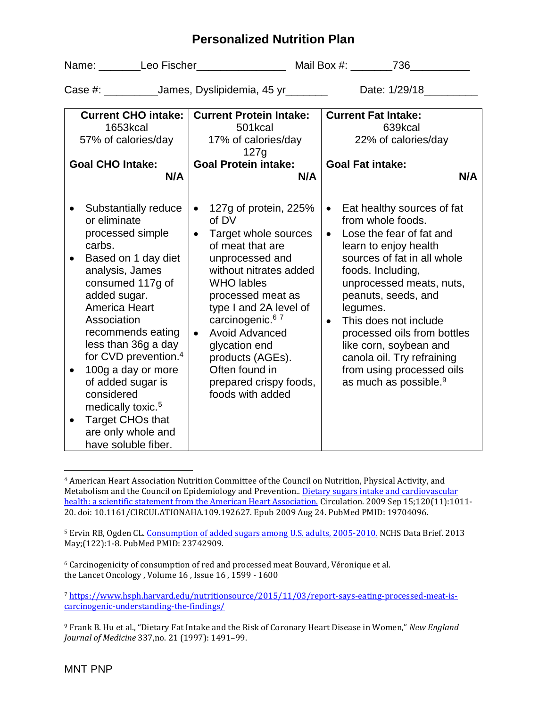Name: Leo Fischer Mail Box #: 236 Case #: \_\_\_\_\_\_\_\_\_\_\_James, Dyslipidemia, 45 yr \_\_\_\_\_\_\_ Date: 1/29/18\_\_\_\_\_\_\_\_\_\_\_\_\_ **Current CHO intake:**  1653kcal 57% of calories/day **Goal CHO Intake: N/A Current Protein Intake:**  501kcal 17% of calories/day 127g **Goal Protein intake: N/A Current Fat Intake:**  639kcal 22% of calories/day **Goal Fat intake: N/A** • Substantially reduce or eliminate processed simple carbs. • Based on 1 day diet analysis, James consumed 117g of added sugar. America Heart Association recommends eating less than 36g a day for CVD prevention. 4 • 100g a day or more of added sugar is considered medically toxic.<sup>5</sup> • Target CHOs that are only whole and have soluble fiber. • 127g of protein, 225% of DV • Target whole sources of meat that are unprocessed and without nitrates added WHO lables processed meat as type I and 2A level of carcinogenic.<sup>67</sup> • Avoid Advanced glycation end products (AGEs). Often found in prepared crispy foods, foods with added • Eat healthy sources of fat from whole foods. • Lose the fear of fat and learn to enjoy health sources of fat in all whole foods. Including, unprocessed meats, nuts, peanuts, seeds, and legumes. • This does not include processed oils from bottles like corn, soybean and canola oil. Try refraining from using processed oils as much as possible.<sup>9</sup>

<sup>5</sup> Ervin RB, Ogden CL. [Consumption of added sugars among U.S. adults, 2005-2010.](https://www.ncbi.nlm.nih.gov/pubmed/23742909) NCHS Data Brief. 2013 May;(122):1-8. PubMed PMID: 23742909.

<sup>6</sup> Carcinogenicity of consumption of red and processed meat Bouvard, Véronique et al. the Lancet Oncology , Volume 16 , Issue 16 , 1599 - 1600

<sup>7</sup> [https://www.hsph.harvard.edu/nutritionsource/2015/11/03/report-says-eating-processed-meat-is](https://www.hsph.harvard.edu/nutritionsource/2015/11/03/report-says-eating-processed-meat-is-carcinogenic-understanding-the-findings/)[carcinogenic-understanding-the-findings/](https://www.hsph.harvard.edu/nutritionsource/2015/11/03/report-says-eating-processed-meat-is-carcinogenic-understanding-the-findings/)

<sup>9</sup> Frank B. Hu et al., "Dietary Fat Intake and the Risk of Coronary Heart Disease in Women," *New England Journal of Medicine* 337,no. 21 (1997): 1491–99.

<sup>4</sup> American Heart Association Nutrition Committee of the Council on Nutrition, Physical Activity, and Metabolism and the Council on Epidemiology and Prevention.[. Dietary sugars intake and cardiovascular](https://www.ncbi.nlm.nih.gov/pubmed/19704096)  [health: a scientific statement from the American Heart Association.](https://www.ncbi.nlm.nih.gov/pubmed/19704096) Circulation. 2009 Sep 15;120(11):1011-20. doi: 10.1161/CIRCULATIONAHA.109.192627. Epub 2009 Aug 24. PubMed PMID: 19704096.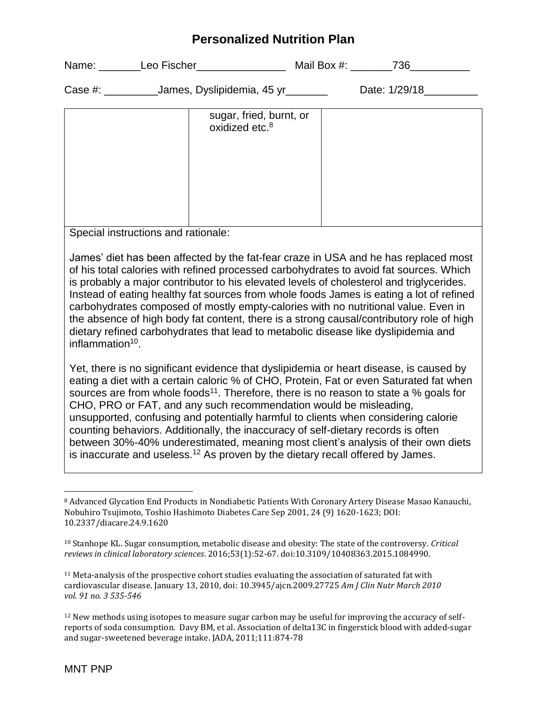| Name:      | Leo Fischer                  | Mail Box #: | 736           |
|------------|------------------------------|-------------|---------------|
| Case $#$ : | _James, Dyslipidemia, 45 yr_ |             | Date: 1/29/18 |

| sugar, fried, burnt, or<br>oxidized etc. <sup>8</sup> |  |
|-------------------------------------------------------|--|
|                                                       |  |
|                                                       |  |
|                                                       |  |

Special instructions and rationale:

James' diet has been affected by the fat-fear craze in USA and he has replaced most of his total calories with refined processed carbohydrates to avoid fat sources. Which is probably a major contributor to his elevated levels of cholesterol and triglycerides. Instead of eating healthy fat sources from whole foods James is eating a lot of refined carbohydrates composed of mostly empty-calories with no nutritional value. Even in the absence of high body fat content, there is a strong causal/contributory role of high dietary refined carbohydrates that lead to metabolic disease like dyslipidemia and inflammation<sup>10</sup>.

Yet, there is no significant evidence that dyslipidemia or heart disease, is caused by eating a diet with a certain caloric % of CHO, Protein, Fat or even Saturated fat when sources are from whole foods<sup>11</sup>. Therefore, there is no reason to state a % goals for CHO, PRO or FAT, and any such recommendation would be misleading, unsupported, confusing and potentially harmful to clients when considering calorie counting behaviors. Additionally, the inaccuracy of self-dietary records is often between 30%-40% underestimated, meaning most client's analysis of their own diets is inaccurate and useless.<sup>12</sup> As proven by the dietary recall offered by James.

<sup>8</sup> Advanced Glycation End Products in Nondiabetic Patients With Coronary Artery Disease Masao Kanauchi, Nobuhiro Tsujimoto, Toshio Hashimoto Diabetes Care Sep 2001, 24 (9) 1620-1623; DOI: 10.2337/diacare.24.9.1620

<sup>10</sup> Stanhope KL. Sugar consumption, metabolic disease and obesity: The state of the controversy. *Critical reviews in clinical laboratory sciences*. 2016;53(1):52-67. doi:10.3109/10408363.2015.1084990.

<sup>11</sup> Meta-analysis of the prospective cohort studies evaluating the association of saturated fat with cardiovascular disease. January 13, 2010, doi: 10.3945/ajcn.2009.27725 *Am J Clin Nutr March 2010 vol. 91 no. 3 535-546*

<sup>&</sup>lt;sup>12</sup> New methods using isotopes to measure sugar carbon may be useful for improving the accuracy of selfreports of soda consumption. Davy BM, et al. Association of delta13C in fingerstick blood with added-sugar and sugar-sweetened beverage intake. JADA, 2011;111:874-78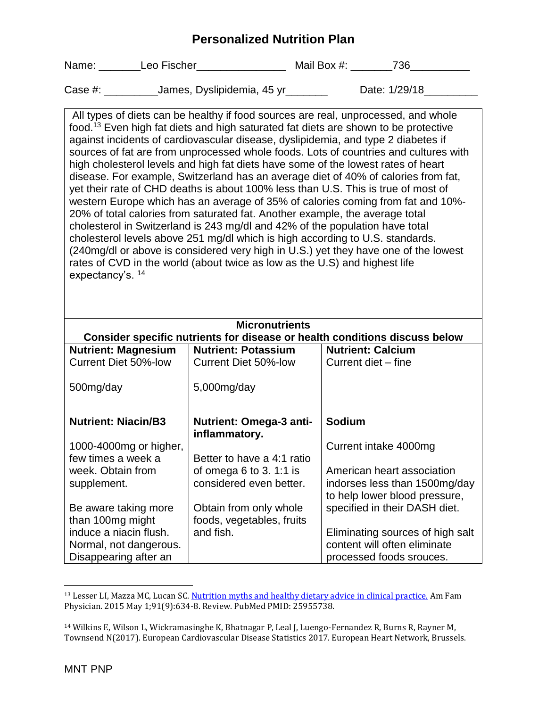| Name: | Leo Fischer | Mail Box #: | 736 |
|-------|-------------|-------------|-----|
|-------|-------------|-------------|-----|

| Case #: | James, Dyslipidemia, 45 yr_ | Date: 1/29/18 |
|---------|-----------------------------|---------------|
|         |                             |               |

All types of diets can be healthy if food sources are real, unprocessed, and whole food.<sup>13</sup> Even high fat diets and high saturated fat diets are shown to be protective against incidents of cardiovascular disease, dyslipidemia, and type 2 diabetes if sources of fat are from unprocessed whole foods. Lots of countries and cultures with high cholesterol levels and high fat diets have some of the lowest rates of heart disease. For example, Switzerland has an average diet of 40% of calories from fat, yet their rate of CHD deaths is about 100% less than U.S. This is true of most of western Europe which has an average of 35% of calories coming from fat and 10%- 20% of total calories from saturated fat. Another example, the average total cholesterol in Switzerland is 243 mg/dl and 42% of the population have total cholesterol levels above 251 mg/dl which is high according to U.S. standards. (240mg/dl or above is considered very high in U.S.) yet they have one of the lowest rates of CVD in the world (about twice as low as the U.S) and highest life expectancy's. <sup>14</sup>

| <b>Micronutrients</b><br>Consider specific nutrients for disease or health conditions discuss below |                                                 |                                  |  |  |
|-----------------------------------------------------------------------------------------------------|-------------------------------------------------|----------------------------------|--|--|
| <b>Nutrient: Magnesium</b>                                                                          | <b>Nutrient: Potassium</b>                      | <b>Nutrient: Calcium</b>         |  |  |
| <b>Current Diet 50%-low</b>                                                                         | Current Diet 50%-low                            | Current diet - fine              |  |  |
| 500mg/day                                                                                           | $5,000$ mg/day                                  |                                  |  |  |
|                                                                                                     |                                                 |                                  |  |  |
| <b>Nutrient: Niacin/B3</b>                                                                          | <b>Nutrient: Omega-3 anti-</b><br>inflammatory. | <b>Sodium</b>                    |  |  |
| 1000-4000mg or higher,                                                                              |                                                 | Current intake 4000mg            |  |  |
| few times a week a                                                                                  | Better to have a 4:1 ratio                      |                                  |  |  |
| week. Obtain from                                                                                   | of omega 6 to 3.1:1 is                          | American heart association       |  |  |
| supplement.                                                                                         | considered even better.                         | indorses less than 1500mg/day    |  |  |
|                                                                                                     |                                                 | to help lower blood pressure,    |  |  |
| Be aware taking more                                                                                | Obtain from only whole                          | specified in their DASH diet.    |  |  |
| than 100mg might                                                                                    | foods, vegetables, fruits                       |                                  |  |  |
| induce a niacin flush.                                                                              | and fish.                                       | Eliminating sources of high salt |  |  |
| Normal, not dangerous.                                                                              |                                                 | content will often eliminate     |  |  |
| Disappearing after an                                                                               |                                                 | processed foods srouces.         |  |  |

<sup>&</sup>lt;sup>13</sup> Lesser LI, Mazza MC, Lucan SC[. Nutrition myths and healthy dietary advice in clinical practice.](https://www.ncbi.nlm.nih.gov/pubmed/25955738) Am Fam Physician. 2015 May 1;91(9):634-8. Review. PubMed PMID: 25955738.

l

<sup>14</sup> Wilkins E, Wilson L, Wickramasinghe K, Bhatnagar P, Leal J, Luengo-Fernandez R, Burns R, Rayner M, Townsend N(2017). European Cardiovascular Disease Statistics 2017. European Heart Network, Brussels.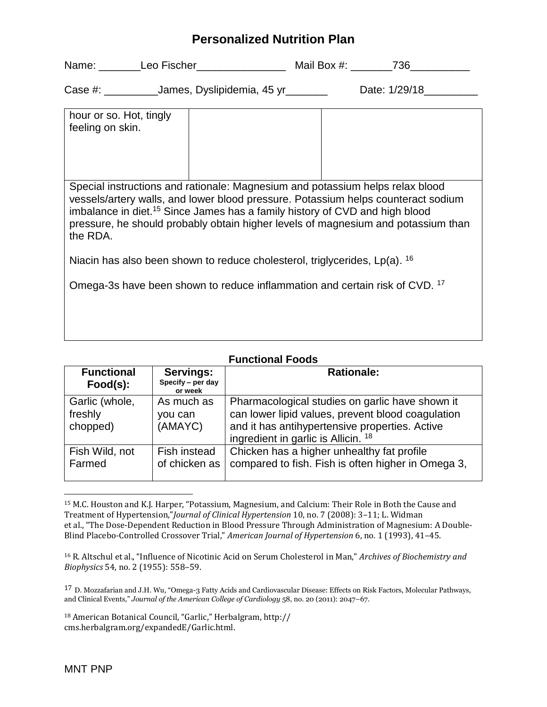|                                                                                                                                                                                                                                                                                                                                                                | Case #: _______________James, Dyslipidemia, 45 yr_________ |  | Date: 1/29/18 |
|----------------------------------------------------------------------------------------------------------------------------------------------------------------------------------------------------------------------------------------------------------------------------------------------------------------------------------------------------------------|------------------------------------------------------------|--|---------------|
| hour or so. Hot, tingly<br>feeling on skin.                                                                                                                                                                                                                                                                                                                    |                                                            |  |               |
| Special instructions and rationale: Magnesium and potassium helps relax blood<br>vessels/artery walls, and lower blood pressure. Potassium helps counteract sodium<br>imbalance in diet. <sup>15</sup> Since James has a family history of CVD and high blood<br>pressure, he should probably obtain higher levels of magnesium and potassium than<br>the RDA. |                                                            |  |               |
| Niacin has also been shown to reduce cholesterol, triglycerides, Lp(a). <sup>16</sup>                                                                                                                                                                                                                                                                          |                                                            |  |               |

Omega-3s have been shown to reduce inflammation and certain risk of CVD. <sup>17</sup>

| <b>Functional Foods</b>               |                                           |                                                                                                                                                                                                          |  |
|---------------------------------------|-------------------------------------------|----------------------------------------------------------------------------------------------------------------------------------------------------------------------------------------------------------|--|
| <b>Functional</b><br>Food(s):         | Servings:<br>Specify - per day<br>or week | <b>Rationale:</b>                                                                                                                                                                                        |  |
| Garlic (whole,<br>freshly<br>chopped) | As much as<br>you can<br>(AMAYC)          | Pharmacological studies on garlic have shown it<br>can lower lipid values, prevent blood coagulation<br>and it has antihypertensive properties. Active<br>ingredient in garlic is Allicin. <sup>18</sup> |  |
| Fish Wild, not<br>Farmed              | Fish instead<br>of chicken as             | Chicken has a higher unhealthy fat profile<br>compared to fish. Fish is often higher in Omega 3,                                                                                                         |  |

<sup>15</sup> M.C. Houston and K.J. Harper, "Potassium, Magnesium, and Calcium: Their Role in Both the Cause and Treatment of Hypertension,"*Journal of Clinical Hypertension* 10, no. 7 (2008): 3–11; L. Widman et al., "The Dose-Dependent Reduction in Blood Pressure Through Administration of Magnesium: A Double-Blind Placebo-Controlled Crossover Trial," *American Journal of Hypertension* 6, no. 1 (1993), 41–45.

<sup>16</sup> R. Altschul et al., "Influence of Nicotinic Acid on Serum Cholesterol in Man," *Archives of Biochemistry and Biophysics* 54, no. 2 (1955): 558–59.

17 D. Mozzafarian and J.H. Wu, "Omega-3 Fatty Acids and Cardiovascular Disease: Effects on Risk Factors, Molecular Pathways, and Clinical Events," *Journal of the American College of Cardiology* 58, no. 20 (2011): 2047–67.

<sup>18</sup> American Botanical Council, "Garlic," Herbalgram, http:// cms.herbalgram.org/expandedE/Garlic.html.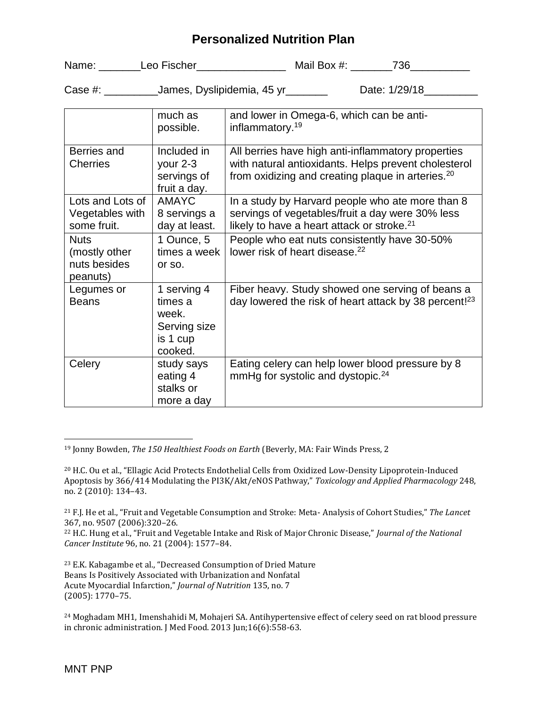| Name: | Leo Fischer | Mail Box #: | 736 |
|-------|-------------|-------------|-----|
|-------|-------------|-------------|-----|

Case #: \_\_\_\_\_\_\_\_\_\_\_James, Dyslipidemia, 45 yr\_\_\_\_\_\_\_\_ Date: 1/29/18\_\_\_\_\_\_\_\_\_\_\_\_\_

|                                                          | much as                                                                | and lower in Omega-6, which can be anti-                                                                                                                                    |
|----------------------------------------------------------|------------------------------------------------------------------------|-----------------------------------------------------------------------------------------------------------------------------------------------------------------------------|
|                                                          | possible.                                                              | inflammatory. <sup>19</sup>                                                                                                                                                 |
| Berries and<br><b>Cherries</b>                           | Included in<br>your 2-3<br>servings of<br>fruit a day.                 | All berries have high anti-inflammatory properties<br>with natural antioxidants. Helps prevent cholesterol<br>from oxidizing and creating plaque in arteries. <sup>20</sup> |
| Lots and Lots of<br>Vegetables with<br>some fruit.       | <b>AMAYC</b><br>8 servings a<br>day at least.                          | In a study by Harvard people who ate more than 8<br>servings of vegetables/fruit a day were 30% less<br>likely to have a heart attack or stroke. <sup>21</sup>              |
| <b>Nuts</b><br>(mostly other<br>nuts besides<br>peanuts) | 1 Ounce, 5<br>times a week<br>or so.                                   | People who eat nuts consistently have 30-50%<br>lower risk of heart disease. <sup>22</sup>                                                                                  |
| Legumes or<br><b>Beans</b>                               | 1 serving 4<br>times a<br>week.<br>Serving size<br>is 1 cup<br>cooked. | Fiber heavy. Study showed one serving of beans a<br>day lowered the risk of heart attack by 38 percent! <sup>23</sup>                                                       |
| Celery                                                   | study says<br>eating 4<br>stalks or<br>more a day                      | Eating celery can help lower blood pressure by 8<br>mmHg for systolic and dystopic. <sup>24</sup>                                                                           |

<sup>19</sup> Jonny Bowden, *The 150 Healthiest Foods on Earth* (Beverly, MA: Fair Winds Press, 2

<sup>23</sup> E.K. Kabagambe et al., "Decreased Consumption of Dried Mature Beans Is Positively Associated with Urbanization and Nonfatal Acute Myocardial Infarction," *Journal of Nutrition* 135, no. 7 (2005): 1770–75.

<sup>24</sup> Moghadam MH1, Imenshahidi M, Mohajeri SA. Antihypertensive effect of celery seed on rat blood pressure in chronic administration. J Med Food. 2013 Jun;16(6):558-63.

<sup>20</sup> H.C. Ou et al., "Ellagic Acid Protects Endothelial Cells from Oxidized Low-Density Lipoprotein-Induced Apoptosis by 366/414 Modulating the PI3K/Akt/eNOS Pathway," *Toxicology and Applied Pharmacology* 248, no. 2 (2010): 134–43.

<sup>21</sup> F.J. He et al., "Fruit and Vegetable Consumption and Stroke: Meta- Analysis of Cohort Studies," *The Lancet*  367, no. 9507 (2006):320–26.

<sup>22</sup> H.C. Hung et al., "Fruit and Vegetable Intake and Risk of Major Chronic Disease," *Journal of the National Cancer Institute* 96, no. 21 (2004): 1577–84.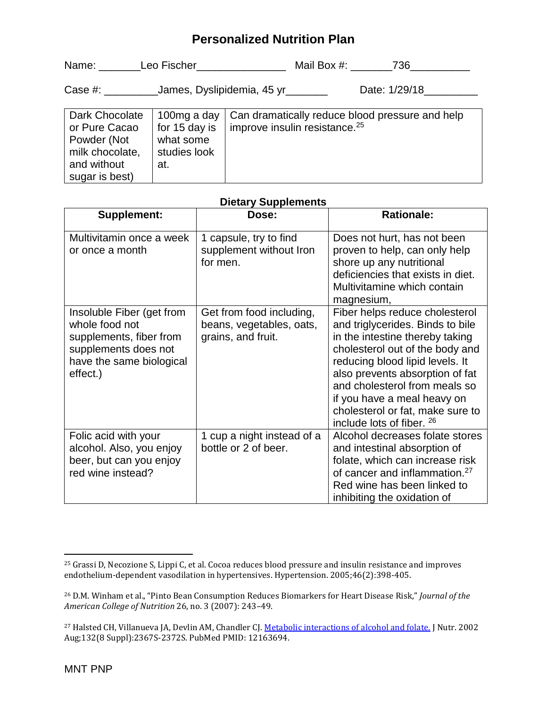| Name:<br>Leo Fischer | Mail Box #: | 736 |
|----------------------|-------------|-----|
|----------------------|-------------|-----|

| Case #: | James, Dyslipidemia, 45 yr | Date: 1/29/18 |
|---------|----------------------------|---------------|
|         |                            |               |

| Dark Chocolate  | 100mg a day   | Can dramatically reduce blood pressure and help |
|-----------------|---------------|-------------------------------------------------|
| or Pure Cacao   | for 15 day is | improve insulin resistance. <sup>25</sup>       |
| Powder (Not     | what some     |                                                 |
| milk chocolate, | studies look  |                                                 |
| and without     | at.           |                                                 |
| sugar is best)  |               |                                                 |

| <b>Supplement:</b>                                                                                                                     | Dose:                                                                      | <b>Rationale:</b>                                                                                                                                                                                                                                                                                                                               |
|----------------------------------------------------------------------------------------------------------------------------------------|----------------------------------------------------------------------------|-------------------------------------------------------------------------------------------------------------------------------------------------------------------------------------------------------------------------------------------------------------------------------------------------------------------------------------------------|
| Multivitamin once a week<br>or once a month                                                                                            | 1 capsule, try to find<br>supplement without Iron<br>for men.              | Does not hurt, has not been<br>proven to help, can only help<br>shore up any nutritional<br>deficiencies that exists in diet.<br>Multivitamine which contain<br>magnesium,                                                                                                                                                                      |
| Insoluble Fiber (get from<br>whole food not<br>supplements, fiber from<br>supplements does not<br>have the same biological<br>effect.) | Get from food including,<br>beans, vegetables, oats,<br>grains, and fruit. | Fiber helps reduce cholesterol<br>and triglycerides. Binds to bile<br>in the intestine thereby taking<br>cholesterol out of the body and<br>reducing blood lipid levels. It<br>also prevents absorption of fat<br>and cholesterol from meals so<br>if you have a meal heavy on<br>cholesterol or fat, make sure to<br>include lots of fiber. 26 |
| Folic acid with your<br>alcohol. Also, you enjoy<br>beer, but can you enjoy<br>red wine instead?                                       | 1 cup a night instead of a<br>bottle or 2 of beer.                         | Alcohol decreases folate stores<br>and intestinal absorption of<br>folate, which can increase risk<br>of cancer and inflammation. <sup>27</sup><br>Red wine has been linked to<br>inhibiting the oxidation of                                                                                                                                   |

#### **Dietary Supplements**

 $\overline{\phantom{a}}$ <sup>25</sup> Grassi D, Necozione S, Lippi C, et al. Cocoa reduces blood pressure and insulin resistance and improves endothelium-dependent vasodilation in hypertensives. Hypertension. 2005;46(2):398-405.

<sup>26</sup> D.M. Winham et al., "Pinto Bean Consumption Reduces Biomarkers for Heart Disease Risk," *Journal of the American College of Nutrition* 26, no. 3 (2007): 243–49.

<sup>&</sup>lt;sup>27</sup> Halsted CH, Villanueva JA, Devlin AM, Chandler CJ. [Metabolic interactions of alcohol and folate.](https://www.ncbi.nlm.nih.gov/pubmed/12163694) J Nutr. 2002 Aug;132(8 Suppl):2367S-2372S. PubMed PMID: 12163694.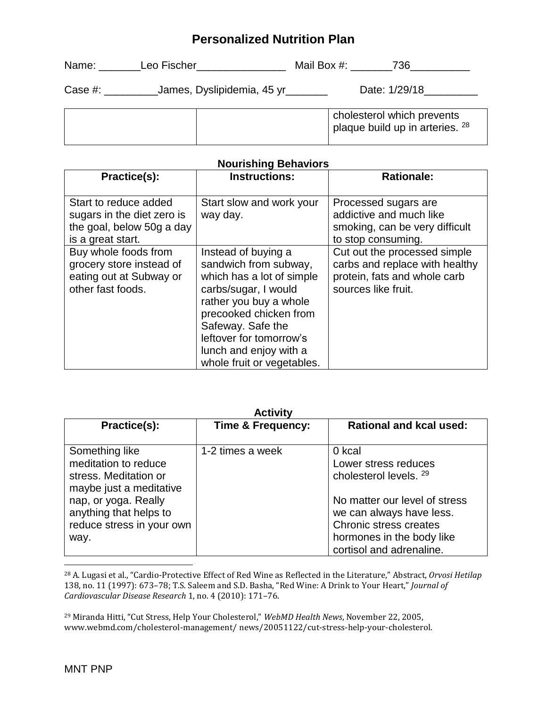| Name:      | Leo Fischer                        | Mail Box #:<br>736                                            |
|------------|------------------------------------|---------------------------------------------------------------|
| Case $#$ : | James, Dyslipidemia, 45 yr _______ | Date: 1/29/18                                                 |
|            |                                    | cholesterol which prevents<br>plaque build up in arteries. 28 |

#### **Nourishing Behaviors**

| Practice(s):                                                                                          | <b>Instructions:</b>                                                                                                                                                                                                                                          | <b>Rationale:</b>                                                                                                     |
|-------------------------------------------------------------------------------------------------------|---------------------------------------------------------------------------------------------------------------------------------------------------------------------------------------------------------------------------------------------------------------|-----------------------------------------------------------------------------------------------------------------------|
| Start to reduce added<br>sugars in the diet zero is<br>the goal, below 50g a day<br>is a great start. | Start slow and work your<br>way day.                                                                                                                                                                                                                          | Processed sugars are<br>addictive and much like<br>smoking, can be very difficult<br>to stop consuming.               |
| Buy whole foods from<br>grocery store instead of<br>eating out at Subway or<br>other fast foods.      | Instead of buying a<br>sandwich from subway,<br>which has a lot of simple<br>carbs/sugar, I would<br>rather you buy a whole<br>precooked chicken from<br>Safeway. Safe the<br>leftover for tomorrow's<br>lunch and enjoy with a<br>whole fruit or vegetables. | Cut out the processed simple<br>carbs and replace with healthy<br>protein, fats and whole carb<br>sources like fruit. |

| <b>Activity</b>                                                                                                                                                                   |                              |                                                                                                                                                                                                          |  |
|-----------------------------------------------------------------------------------------------------------------------------------------------------------------------------------|------------------------------|----------------------------------------------------------------------------------------------------------------------------------------------------------------------------------------------------------|--|
| Practice(s):                                                                                                                                                                      | <b>Time &amp; Frequency:</b> | <b>Rational and kcal used:</b>                                                                                                                                                                           |  |
| Something like<br>meditation to reduce<br>stress. Meditation or<br>maybe just a meditative<br>nap, or yoga. Really<br>anything that helps to<br>reduce stress in your own<br>way. | 1-2 times a week             | 0 kcal<br>Lower stress reduces<br>cholesterol levels, 29<br>No matter our level of stress<br>we can always have less.<br>Chronic stress creates<br>hormones in the body like<br>cortisol and adrenaline. |  |

<sup>28</sup> A. Lugasi et al., "Cardio-Protective Effect of Red Wine as Reflected in the Literature," Abstract, *Orvosi Hetilap*  138, no. 11 (1997): 673–78; T.S. Saleem and S.D. Basha, "Red Wine: A Drink to Your Heart," *Journal of Cardiovascular Disease Research* 1, no. 4 (2010): 171–76.

<sup>29</sup> Miranda Hitti, "Cut Stress, Help Your Cholesterol," *WebMD Health News*, November 22, 2005, www.webmd.com/cholesterol-management/ news/20051122/cut-stress-help-your-cholesterol.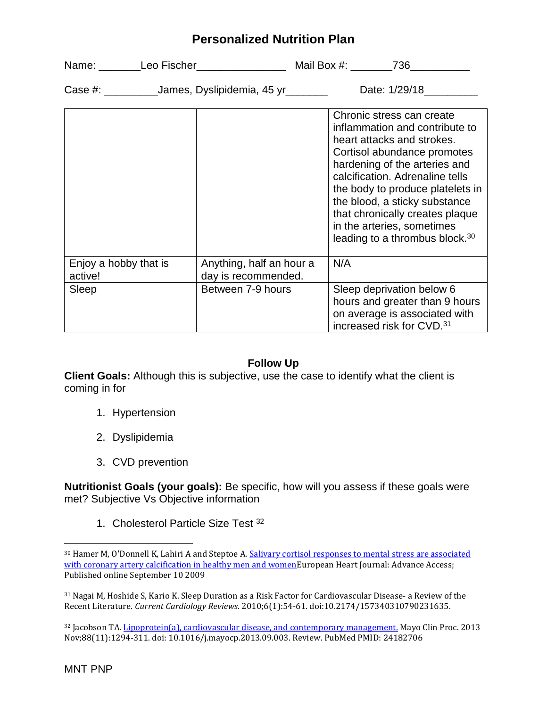| Name: __________Leo Fischer___________________          |                                                 | Mail Box #: 736                                                                                                                                                                                                                                                                                                                                                                  |
|---------------------------------------------------------|-------------------------------------------------|----------------------------------------------------------------------------------------------------------------------------------------------------------------------------------------------------------------------------------------------------------------------------------------------------------------------------------------------------------------------------------|
| Case #: _____________James, Dyslipidemia, 45 yr________ |                                                 | Date: 1/29/18                                                                                                                                                                                                                                                                                                                                                                    |
|                                                         |                                                 | Chronic stress can create<br>inflammation and contribute to<br>heart attacks and strokes.<br>Cortisol abundance promotes<br>hardening of the arteries and<br>calcification. Adrenaline tells<br>the body to produce platelets in<br>the blood, a sticky substance<br>that chronically creates plaque<br>in the arteries, sometimes<br>leading to a thrombus block. <sup>30</sup> |
| Enjoy a hobby that is<br>active!                        | Anything, half an hour a<br>day is recommended. | N/A                                                                                                                                                                                                                                                                                                                                                                              |
| Sleep                                                   | Between 7-9 hours                               | Sleep deprivation below 6<br>hours and greater than 9 hours<br>on average is associated with<br>increased risk for CVD. <sup>31</sup>                                                                                                                                                                                                                                            |

#### **Follow Up**

**Client Goals:** Although this is subjective, use the case to identify what the client is coming in for

- 1. Hypertension
- 2. Dyslipidemia
- 3. CVD prevention

**Nutritionist Goals (your goals):** Be specific, how will you assess if these goals were met? Subjective Vs Objective information

1. Cholesterol Particle Size Test <sup>32</sup>

<sup>31</sup> Nagai M, Hoshide S, Kario K. Sleep Duration as a Risk Factor for Cardiovascular Disease- a Review of the Recent Literature. *Current Cardiology Reviews*. 2010;6(1):54-61. doi:10.2174/157340310790231635.

<sup>32</sup> Jacobson TA[. Lipoprotein\(a\), cardiovascular disease, and contemporary management.](https://www.ncbi.nlm.nih.gov/pubmed/24182706) Mayo Clin Proc. 2013 Nov;88(11):1294-311. doi: 10.1016/j.mayocp.2013.09.003. Review. PubMed PMID: 24182706

<sup>&</sup>lt;sup>30</sup> Hamer M, O'Donnell K, Lahiri A and Steptoe A. Salivary cortisol responses to mental stress are associated [with coronary artery calcification in healthy men and womenE](http://eurheartj.oxfordjournals.org/cgi/content/abstract/ehp386)uropean Heart Journal: Advance Access; Published online September 10 2009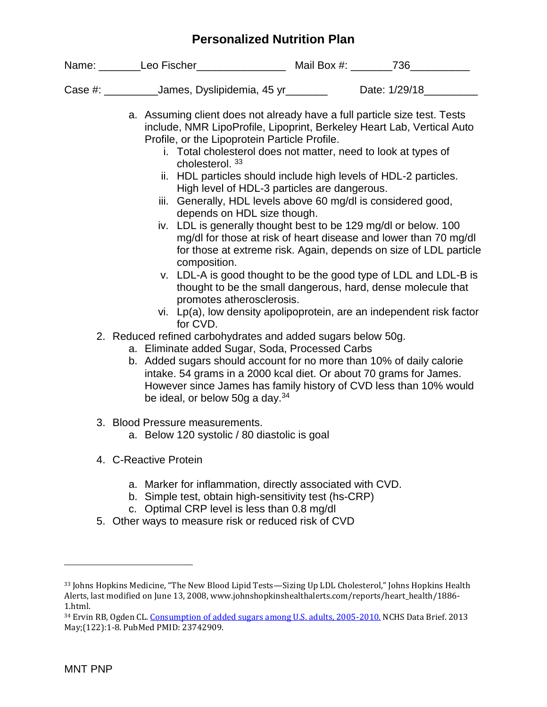| Case #: ___________James, Dyslipidemia, 45 yr_______                                                                                                                                                                                                                                                                                                                                                                                                                                                                                                                                                                                                                                                                                                                                                                                                                                                                                                                                                                                                                                                                                                                        | Date: 1/29/18                                                                                                                                                                                         |  |
|-----------------------------------------------------------------------------------------------------------------------------------------------------------------------------------------------------------------------------------------------------------------------------------------------------------------------------------------------------------------------------------------------------------------------------------------------------------------------------------------------------------------------------------------------------------------------------------------------------------------------------------------------------------------------------------------------------------------------------------------------------------------------------------------------------------------------------------------------------------------------------------------------------------------------------------------------------------------------------------------------------------------------------------------------------------------------------------------------------------------------------------------------------------------------------|-------------------------------------------------------------------------------------------------------------------------------------------------------------------------------------------------------|--|
| a. Assuming client does not already have a full particle size test. Tests<br>include, NMR LipoProfile, Lipoprint, Berkeley Heart Lab, Vertical Auto<br>Profile, or the Lipoprotein Particle Profile.<br>i. Total cholesterol does not matter, need to look at types of<br>cholesterol. 33<br>ii. HDL particles should include high levels of HDL-2 particles.<br>High level of HDL-3 particles are dangerous.<br>iii. Generally, HDL levels above 60 mg/dl is considered good,<br>depends on HDL size though.<br>iv. LDL is generally thought best to be 129 mg/dl or below. 100<br>composition.<br>v. LDL-A is good thought to be the good type of LDL and LDL-B is<br>promotes atherosclerosis.<br>vi. Lp(a), low density apolipoprotein, are an independent risk factor<br>for CVD.<br>2. Reduced refined carbohydrates and added sugars below 50g.<br>a. Eliminate added Sugar, Soda, Processed Carbs<br>b. Added sugars should account for no more than 10% of daily calorie<br>intake. 54 grams in a 2000 kcal diet. Or about 70 grams for James.<br>However since James has family history of CVD less than 10% would<br>be ideal, or below 50g a day. <sup>34</sup> | mg/dl for those at risk of heart disease and lower than 70 mg/dl<br>for those at extreme risk. Again, depends on size of LDL particle<br>thought to be the small dangerous, hard, dense molecule that |  |
| 3. Blood Pressure measurements.<br>a. Below 120 systolic / 80 diastolic is goal                                                                                                                                                                                                                                                                                                                                                                                                                                                                                                                                                                                                                                                                                                                                                                                                                                                                                                                                                                                                                                                                                             |                                                                                                                                                                                                       |  |
| 4. C-Reactive Protein                                                                                                                                                                                                                                                                                                                                                                                                                                                                                                                                                                                                                                                                                                                                                                                                                                                                                                                                                                                                                                                                                                                                                       |                                                                                                                                                                                                       |  |
| a. Marker for inflammation, directly associated with CVD.<br>b. Simple test, obtain high-sensitivity test (hs-CRP)<br>c. Optimal CRP level is less than 0.8 mg/dl<br>5. Other ways to measure risk or reduced risk of CVD                                                                                                                                                                                                                                                                                                                                                                                                                                                                                                                                                                                                                                                                                                                                                                                                                                                                                                                                                   |                                                                                                                                                                                                       |  |

<sup>33</sup> Johns Hopkins Medicine, "The New Blood Lipid Tests—Sizing Up LDL Cholesterol," Johns Hopkins Health Alerts, last modified on June 13, 2008, www.johnshopkinshealthalerts.com/reports/heart\_health/1886- 1.html.

<sup>&</sup>lt;sup>34</sup> Ervin RB, Ogden CL[. Consumption of added sugars among U.S. adults, 2005-2010.](https://www.ncbi.nlm.nih.gov/pubmed/23742909) NCHS Data Brief. 2013 May;(122):1-8. PubMed PMID: 23742909.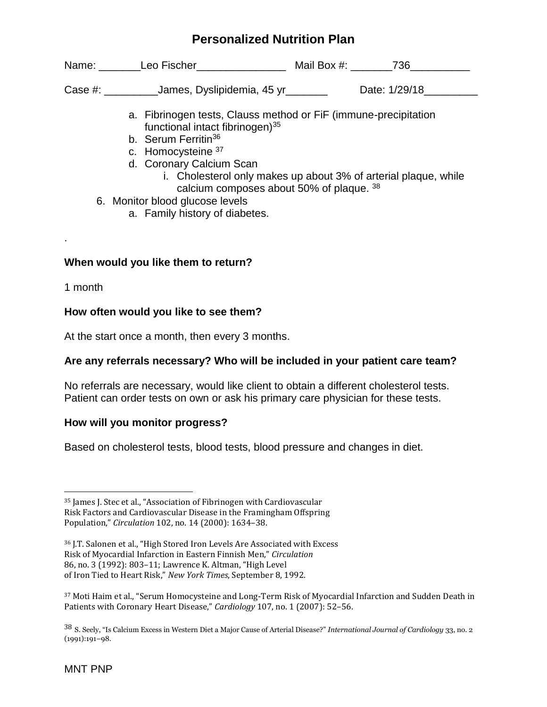Name: Leo Fischer\_\_\_\_\_\_\_\_\_\_\_\_\_\_\_ Mail Box #: \_\_\_\_\_\_736\_\_\_\_\_\_\_\_\_\_

Case #: \_\_\_\_\_\_\_\_\_\_\_James, Dyslipidemia, 45 yr \_\_\_\_\_\_\_\_ Date: 1/29/18\_\_\_\_\_\_\_\_\_\_\_\_

- a. Fibrinogen tests, Clauss method or FiF (immune-precipitation functional intact fibrinogen)<sup>35</sup>
- b. Serum Ferritin<sup>36</sup>
- c. Homocysteine <sup>37</sup>
- d. Coronary Calcium Scan
	- i. Cholesterol only makes up about 3% of arterial plaque, while calcium composes about 50% of plaque. <sup>38</sup>
- 6. Monitor blood glucose levels
	- a. Family history of diabetes.

### **When would you like them to return?**

1 month

.

 $\overline{\phantom{a}}$ 

### **How often would you like to see them?**

At the start once a month, then every 3 months.

### **Are any referrals necessary? Who will be included in your patient care team?**

No referrals are necessary, would like client to obtain a different cholesterol tests. Patient can order tests on own or ask his primary care physician for these tests.

### **How will you monitor progress?**

Based on cholesterol tests, blood tests, blood pressure and changes in diet.

<sup>35</sup> James J. Stec et al., "Association of Fibrinogen with Cardiovascular Risk Factors and Cardiovascular Disease in the Framingham Offspring Population," *Circulation* 102, no. 14 (2000): 1634–38.

<sup>36</sup> J.T. Salonen et al., "High Stored Iron Levels Are Associated with Excess Risk of Myocardial Infarction in Eastern Finnish Men," *Circulation* 86, no. 3 (1992): 803–11; Lawrence K. Altman, "High Level of Iron Tied to Heart Risk," *New York Times*, September 8, 1992.

<sup>37</sup> Moti Haim et al., "Serum Homocysteine and Long-Term Risk of Myocardial Infarction and Sudden Death in Patients with Coronary Heart Disease," *Cardiology* 107, no. 1 (2007): 52–56.

<sup>38</sup> S. Seely, "Is Calcium Excess in Western Diet a Major Cause of Arterial Disease?" *International Journal of Cardiology* 33, no. 2 (1991):191–98.